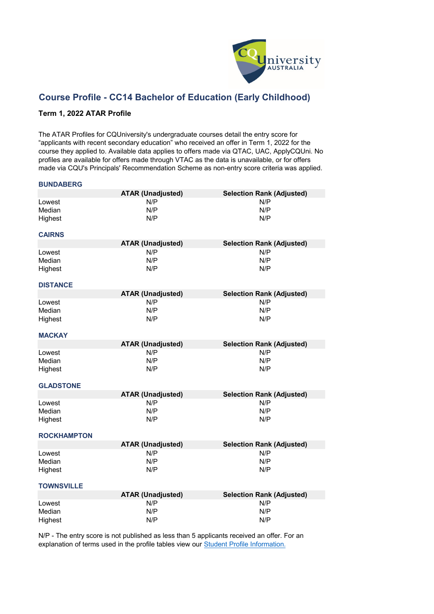

## **Course Profile - CC14 Bachelor of Education (Early Childhood)**

### **Term 1, 2022 ATAR Profile**

The ATAR Profiles for CQUniversity's undergraduate courses detail the entry score for "applicants with recent secondary education" who received an offer in Term 1, 2022 for the course they applied to. Available data applies to offers made via QTAC, UAC, ApplyCQUni. No profiles are available for offers made through VTAC as the data is unavailable, or for offers made via CQU's Principals' Recommendation Scheme as non-entry score criteria was applied.

#### **BUNDABERG**

|                             | <b>ATAR (Unadjusted)</b> | <b>Selection Rank (Adjusted)</b> |
|-----------------------------|--------------------------|----------------------------------|
| Lowest<br>Median<br>Highest | N/P<br>N/P<br>N/P        | N/P<br>N/P<br>N/P                |
| <b>CAIRNS</b>               |                          |                                  |
|                             | <b>ATAR (Unadjusted)</b> | <b>Selection Rank (Adjusted)</b> |
| Lowest<br>Median<br>Highest | N/P<br>N/P<br>N/P        | N/P<br>N/P<br>N/P                |
| <b>DISTANCE</b>             |                          |                                  |
|                             | <b>ATAR (Unadjusted)</b> | <b>Selection Rank (Adjusted)</b> |
| Lowest<br>Median<br>Highest | N/P<br>N/P<br>N/P        | N/P<br>N/P<br>N/P                |
|                             |                          |                                  |
| <b>MACKAY</b>               |                          |                                  |
|                             | <b>ATAR (Unadjusted)</b> | <b>Selection Rank (Adjusted)</b> |
| Lowest<br>Median<br>Highest | N/P<br>N/P<br>N/P        | N/P<br>N/P<br>N/P                |
| <b>GLADSTONE</b>            |                          |                                  |
|                             | <b>ATAR (Unadjusted)</b> | <b>Selection Rank (Adjusted)</b> |
| Lowest<br>Median<br>Highest | N/P<br>N/P<br>N/P        | N/P<br>N/P<br>N/P                |
| <b>ROCKHAMPTON</b>          |                          |                                  |
|                             | <b>ATAR (Unadjusted)</b> | <b>Selection Rank (Adjusted)</b> |
| Lowest<br>Median<br>Highest | N/P<br>N/P<br>N/P        | N/P<br>N/P<br>N/P                |
| <b>TOWNSVILLE</b>           |                          |                                  |
|                             | <b>ATAR (Unadjusted)</b> | <b>Selection Rank (Adjusted)</b> |
| Lowest<br>Median<br>Highest | N/P<br>N/P<br>N/P        | N/P<br>N/P<br>N/P                |

[N/P - The entry score](https://www.cqu.edu.au/courses/future-students/your-journey/enquire/student-profile) is not published as less than 5 applicants received an offer. For an [explanation of terms used in the profile tables view our](https://www.cqu.edu.au/courses/future-students/your-journey/enquire/student-profile) [Student Profile Information.](https://www.cqu.edu.au/courses/future-students/your-journey/enquire/student-profile)